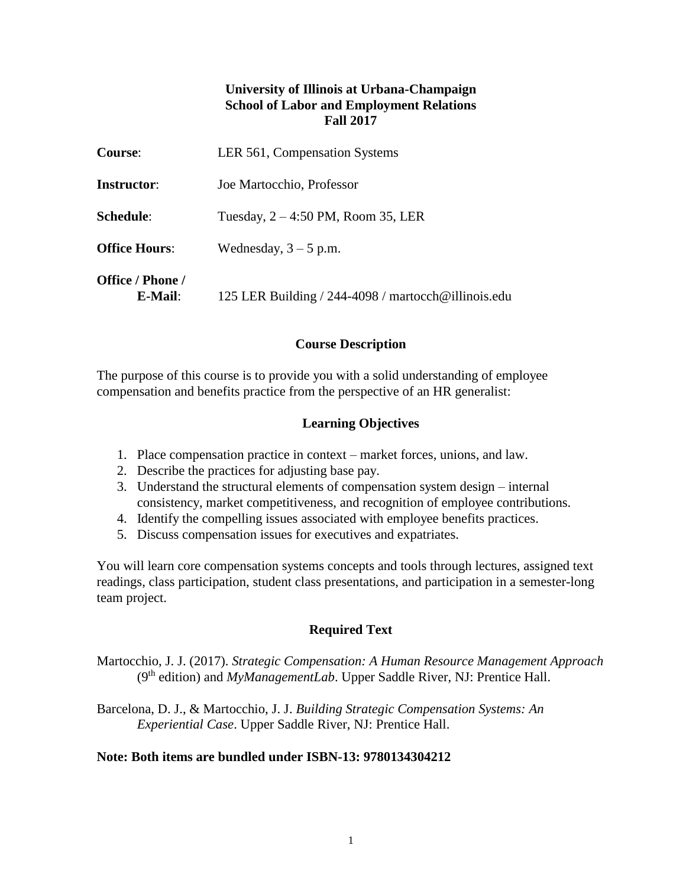## **University of Illinois at Urbana-Champaign School of Labor and Employment Relations Fall 2017**

| <b>Course:</b>                 | LER 561, Compensation Systems                       |
|--------------------------------|-----------------------------------------------------|
| <b>Instructor:</b>             | Joe Martocchio, Professor                           |
| Schedule:                      | Tuesday, $2 - 4:50$ PM, Room 35, LER                |
| <b>Office Hours:</b>           | Wednesday, $3 - 5$ p.m.                             |
| Office / Phone /<br>$E$ -Mail: | 125 LER Building / 244-4098 / martocch@illinois.edu |

### **Course Description**

The purpose of this course is to provide you with a solid understanding of employee compensation and benefits practice from the perspective of an HR generalist:

#### **Learning Objectives**

- 1. Place compensation practice in context market forces, unions, and law.
- 2. Describe the practices for adjusting base pay.
- 3. Understand the structural elements of compensation system design internal consistency, market competitiveness, and recognition of employee contributions.
- 4. Identify the compelling issues associated with employee benefits practices.
- 5. Discuss compensation issues for executives and expatriates.

You will learn core compensation systems concepts and tools through lectures, assigned text readings, class participation, student class presentations, and participation in a semester-long team project.

### **Required Text**

Martocchio, J. J. (2017). *Strategic Compensation: A Human Resource Management Approach* ( $9<sup>th</sup>$  edition) and *MyManagementLab*. Upper Saddle River, NJ: Prentice Hall.

Barcelona, D. J., & Martocchio, J. J. *Building Strategic Compensation Systems: An Experiential Case*. Upper Saddle River, NJ: Prentice Hall.

#### **Note: Both items are bundled under ISBN-13: 9780134304212**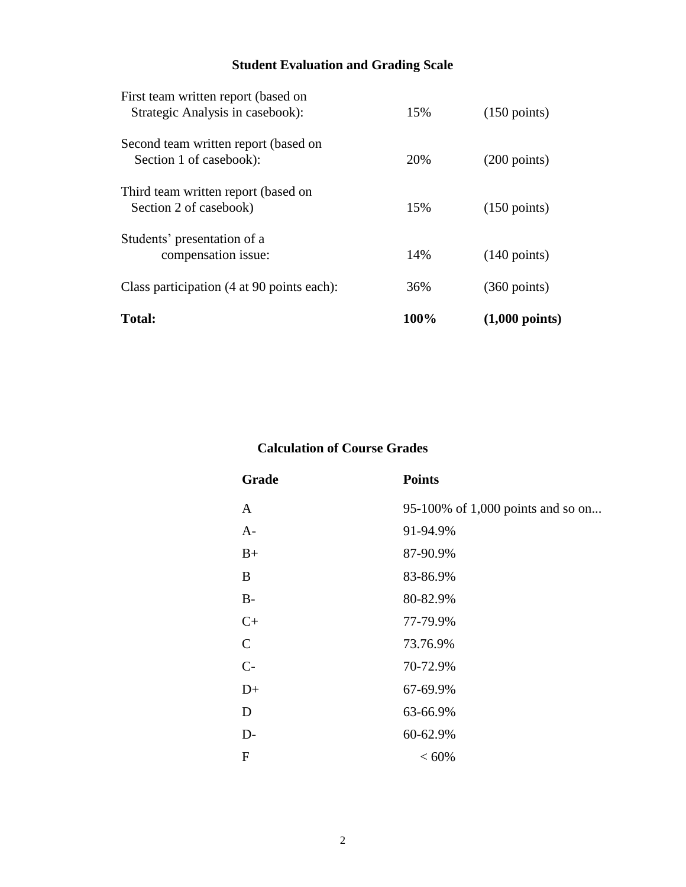# **Student Evaluation and Grading Scale**

| <b>Total:</b>                                                           | 100% | $(1,000 \text{ points})$ |
|-------------------------------------------------------------------------|------|--------------------------|
| Class participation (4 at 90 points each):                              | 36%  | $(360 \text{ points})$   |
| Students' presentation of a<br>compensation issue:                      | 14%  | $(140 \text{ points})$   |
| Third team written report (based on<br>Section 2 of casebook)           | 15%  | $(150 \text{ points})$   |
| Second team written report (based on<br>Section 1 of casebook):         | 20%  | $(200 \text{ points})$   |
| First team written report (based on<br>Strategic Analysis in casebook): | 15%  | $(150 \text{ points})$   |

## **Calculation of Course Grades**

| Grade         | <b>Points</b>                     |
|---------------|-----------------------------------|
| A             | 95-100% of 1,000 points and so on |
| $A-$          | 91-94.9%                          |
| $B+$          | 87-90.9%                          |
| B             | 83-86.9%                          |
| $B-$          | 80-82.9%                          |
| $C+$          | 77-79.9%                          |
| $\mathcal{C}$ | 73.76.9%                          |
| $C-$          | 70-72.9%                          |
| $D+$          | 67-69.9%                          |
| D             | 63-66.9%                          |
| $D-$          | 60-62.9%                          |
| ${\bf F}$     | $< 60\%$                          |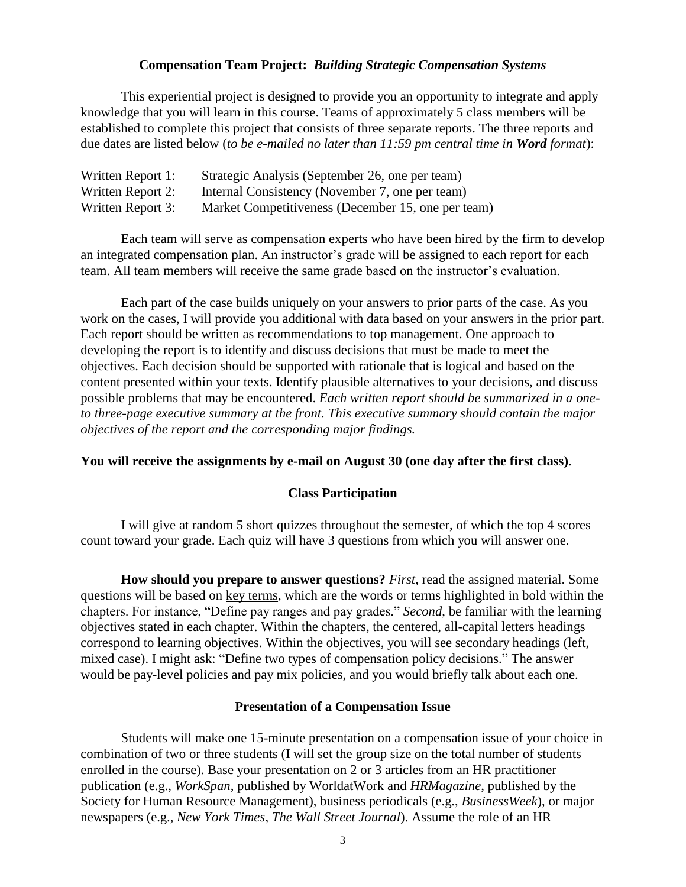#### **Compensation Team Project:** *Building Strategic Compensation Systems*

This experiential project is designed to provide you an opportunity to integrate and apply knowledge that you will learn in this course. Teams of approximately 5 class members will be established to complete this project that consists of three separate reports. The three reports and due dates are listed below (*to be e-mailed no later than 11:59 pm central time in Word format*):

| Written Report 1: | Strategic Analysis (September 26, one per team)    |
|-------------------|----------------------------------------------------|
| Written Report 2: | Internal Consistency (November 7, one per team)    |
| Written Report 3: | Market Competitiveness (December 15, one per team) |

Each team will serve as compensation experts who have been hired by the firm to develop an integrated compensation plan. An instructor's grade will be assigned to each report for each team. All team members will receive the same grade based on the instructor's evaluation.

Each part of the case builds uniquely on your answers to prior parts of the case. As you work on the cases, I will provide you additional with data based on your answers in the prior part. Each report should be written as recommendations to top management. One approach to developing the report is to identify and discuss decisions that must be made to meet the objectives. Each decision should be supported with rationale that is logical and based on the content presented within your texts. Identify plausible alternatives to your decisions, and discuss possible problems that may be encountered. *Each written report should be summarized in a oneto three-page executive summary at the front. This executive summary should contain the major objectives of the report and the corresponding major findings.*

#### **You will receive the assignments by e-mail on August 30 (one day after the first class)**.

#### **Class Participation**

I will give at random 5 short quizzes throughout the semester, of which the top 4 scores count toward your grade. Each quiz will have 3 questions from which you will answer one.

**How should you prepare to answer questions?** *First*, read the assigned material. Some questions will be based on key terms, which are the words or terms highlighted in bold within the chapters. For instance, "Define pay ranges and pay grades." *Second*, be familiar with the learning objectives stated in each chapter. Within the chapters, the centered, all-capital letters headings correspond to learning objectives. Within the objectives, you will see secondary headings (left, mixed case). I might ask: "Define two types of compensation policy decisions." The answer would be pay-level policies and pay mix policies, and you would briefly talk about each one.

#### **Presentation of a Compensation Issue**

Students will make one 15-minute presentation on a compensation issue of your choice in combination of two or three students (I will set the group size on the total number of students enrolled in the course). Base your presentation on 2 or 3 articles from an HR practitioner publication (e.g., *WorkSpan*, published by WorldatWork and *HRMagazine*, published by the Society for Human Resource Management), business periodicals (e.g., *BusinessWeek*), or major newspapers (e.g., *New York Times*, *The Wall Street Journal*). Assume the role of an HR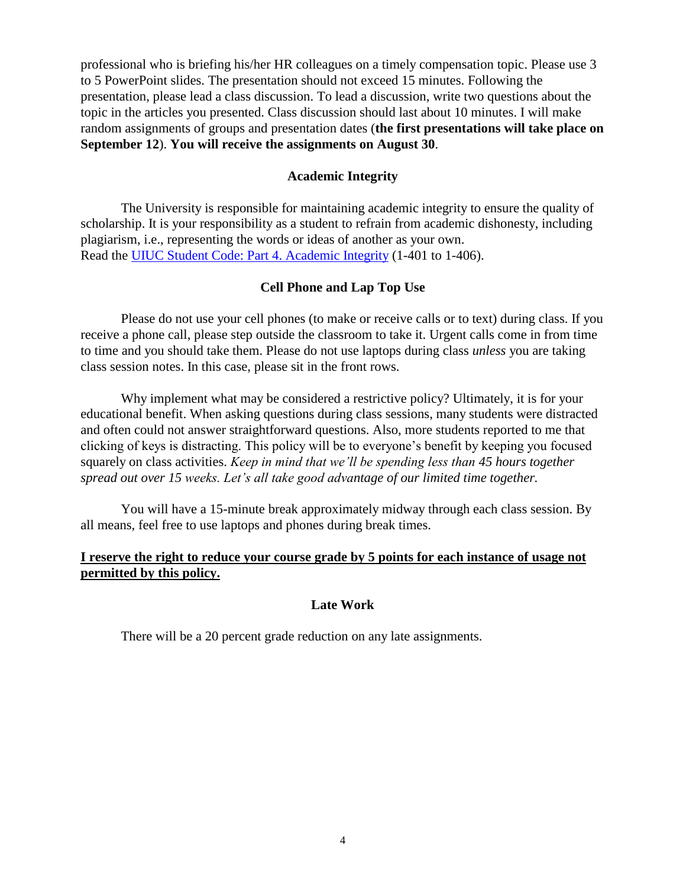professional who is briefing his/her HR colleagues on a timely compensation topic. Please use 3 to 5 PowerPoint slides. The presentation should not exceed 15 minutes. Following the presentation, please lead a class discussion. To lead a discussion, write two questions about the topic in the articles you presented. Class discussion should last about 10 minutes. I will make random assignments of groups and presentation dates (**the first presentations will take place on September 12**). **You will receive the assignments on August 30**.

#### **Academic Integrity**

The University is responsible for maintaining academic integrity to ensure the quality of scholarship. It is your responsibility as a student to refrain from academic dishonesty, including plagiarism, i.e., representing the words or ideas of another as your own. Read the [UIUC Student Code: Part 4. Academic Integrity](http://admin.illinois.edu/policy/code/article1_part4_1-401.html) (1-401 to 1-406).

#### **Cell Phone and Lap Top Use**

Please do not use your cell phones (to make or receive calls or to text) during class. If you receive a phone call, please step outside the classroom to take it. Urgent calls come in from time to time and you should take them. Please do not use laptops during class *unless* you are taking class session notes. In this case, please sit in the front rows.

Why implement what may be considered a restrictive policy? Ultimately, it is for your educational benefit. When asking questions during class sessions, many students were distracted and often could not answer straightforward questions. Also, more students reported to me that clicking of keys is distracting. This policy will be to everyone's benefit by keeping you focused squarely on class activities. *Keep in mind that we'll be spending less than 45 hours together spread out over 15 weeks. Let's all take good advantage of our limited time together.*

You will have a 15-minute break approximately midway through each class session. By all means, feel free to use laptops and phones during break times.

#### **I reserve the right to reduce your course grade by 5 points for each instance of usage not permitted by this policy.**

#### **Late Work**

There will be a 20 percent grade reduction on any late assignments.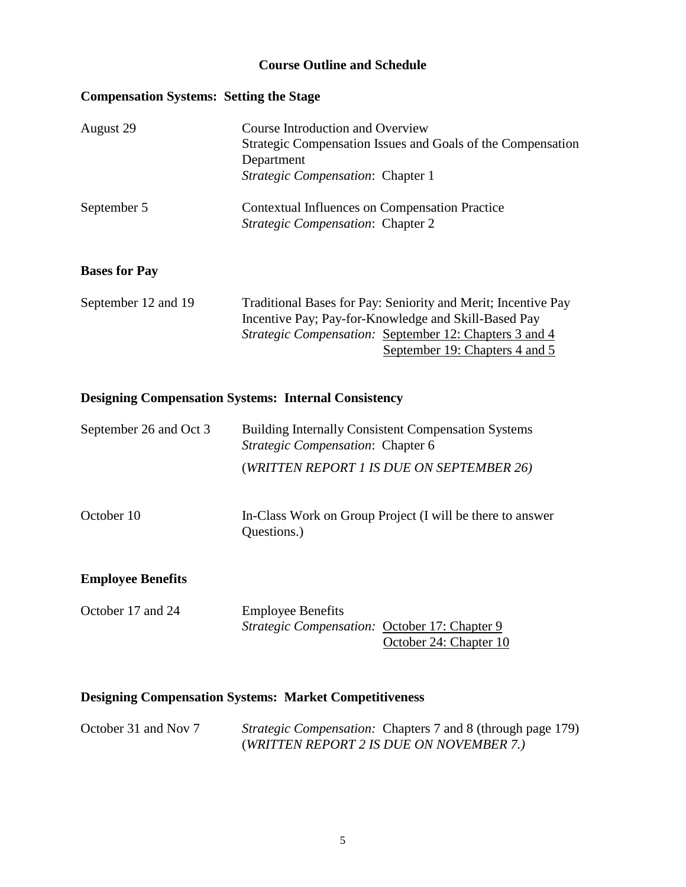#### **Course Outline and Schedule**

#### **Compensation Systems: Setting the Stage**

| August 29            | Course Introduction and Overview<br>Strategic Compensation Issues and Goals of the Compensation<br>Department<br><i>Strategic Compensation: Chapter 1</i> |
|----------------------|-----------------------------------------------------------------------------------------------------------------------------------------------------------|
| September 5          | <b>Contextual Influences on Compensation Practice</b><br>Strategic Compensation: Chapter 2                                                                |
| <b>Bases for Pay</b> |                                                                                                                                                           |
| September 12 and 19  | Traditional Bases for Pay: Seniority and Merit; Incentive Pay<br>Incentive Pay; Pay-for-Knowledge and Skill-Based Pay                                     |

Incentive Pay; Pay-for-Knowledge and Skill-Based Pay *Strategic Compensation:* September 12: Chapters 3 and 4 September 19: Chapters 4 and 5

#### **Designing Compensation Systems: Internal Consistency**

| September 26 and Oct 3 | <b>Building Internally Consistent Compensation Systems</b><br><i>Strategic Compensation: Chapter 6</i> |  |
|------------------------|--------------------------------------------------------------------------------------------------------|--|
|                        | (WRITTEN REPORT 1 IS DUE ON SEPTEMBER 26)                                                              |  |

October 10 In-Class Work on Group Project (I will be there to answer Questions.)

#### **Employee Benefits**

| October 17 and 24 | <b>Employee Benefits</b>                             |                        |
|-------------------|------------------------------------------------------|------------------------|
|                   | <i>Strategic Compensation:</i> October 17: Chapter 9 |                        |
|                   |                                                      | October 24: Chapter 10 |

### **Designing Compensation Systems: Market Competitiveness**

October 31 and Nov 7 *Strategic Compensation:* Chapters 7 and 8 (through page 179) (*WRITTEN REPORT 2 IS DUE ON NOVEMBER 7.)*